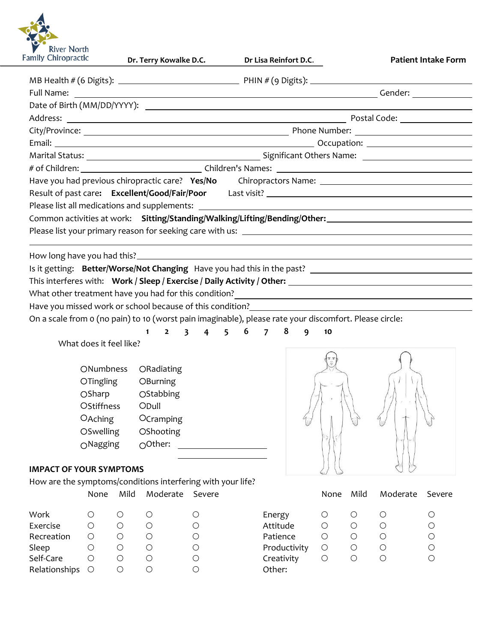

| amily Chiropractic                                                                                                   | Dr. Terry Kowalke D.C.                                                                                                                                                                                                                                                                                | Dr Lisa Reinfort D.C.                                               |                          | <b>Patient Intake Form</b> |
|----------------------------------------------------------------------------------------------------------------------|-------------------------------------------------------------------------------------------------------------------------------------------------------------------------------------------------------------------------------------------------------------------------------------------------------|---------------------------------------------------------------------|--------------------------|----------------------------|
|                                                                                                                      |                                                                                                                                                                                                                                                                                                       |                                                                     |                          |                            |
|                                                                                                                      |                                                                                                                                                                                                                                                                                                       |                                                                     |                          |                            |
|                                                                                                                      |                                                                                                                                                                                                                                                                                                       |                                                                     |                          |                            |
|                                                                                                                      |                                                                                                                                                                                                                                                                                                       |                                                                     |                          |                            |
|                                                                                                                      |                                                                                                                                                                                                                                                                                                       |                                                                     |                          |                            |
|                                                                                                                      |                                                                                                                                                                                                                                                                                                       |                                                                     |                          |                            |
|                                                                                                                      |                                                                                                                                                                                                                                                                                                       |                                                                     |                          |                            |
|                                                                                                                      |                                                                                                                                                                                                                                                                                                       |                                                                     |                          |                            |
|                                                                                                                      | Have you had previous chiropractic care? Yes/No Chiropractors Name: ________________________________<br>Common activities at work: Sitting/Standing/Walking/Lifting/Bending/Other: ________________________                                                                                           |                                                                     |                          |                            |
|                                                                                                                      | What other treatment have you had for this condition?<br><u> </u><br>Have you missed work or school because of this condition?<br>Have you missed work or school because of this condition?<br>On a scale from o (no pain) to 10 (worst pain imaginable), please rate your discomfort. Please circle: | $1 \quad 2 \quad 3 \quad 4 \quad 5 \quad 6 \quad 7 \quad 8 \quad 9$ | 10                       |                            |
| What does it feel like?                                                                                              |                                                                                                                                                                                                                                                                                                       |                                                                     |                          |                            |
| ONumbness<br><b>OTingling</b><br>OStiffness<br>OAching<br>OSwelling<br>$O$ Nagging<br><b>IMPACT OF YOUR SYMPTOMS</b> | ORadiating<br>OBurning<br>OSharp OStabbing<br>ODull<br>OCramping<br>OShooting<br>OOther:                                                                                                                                                                                                              |                                                                     |                          |                            |
|                                                                                                                      | How are the symptoms/conditions interfering with your life?                                                                                                                                                                                                                                           |                                                                     |                          |                            |
| None                                                                                                                 | Moderate Severe<br>Mild                                                                                                                                                                                                                                                                               |                                                                     | Mild<br>None             | Moderate<br>Severe         |
| Work<br>$\bigcirc$                                                                                                   | $\bigcirc$<br>$\bigcirc$<br>$\bigcirc$                                                                                                                                                                                                                                                                | Energy                                                              | $\bigcirc$<br>$\bigcirc$ | $\bigcirc$<br>$\bigcirc$   |

| Exercise        |  |  |
|-----------------|--|--|
| Recreation      |  |  |
| Sleep           |  |  |
| Self-Care       |  |  |
| Relationships O |  |  |

| Work          |         |  | Energy       |                     |   |
|---------------|---------|--|--------------|---------------------|---|
| Exercise      |         |  | Attitude     |                     | Ο |
| Recreation    |         |  | Patience     |                     | O |
| Sleep         | $\cup$  |  | Productivity | $\circlearrowright$ | O |
| Self-Care     | ()      |  | Creativity   |                     | O |
| Relationships | $\circ$ |  | Other:       |                     |   |
|               |         |  |              |                     |   |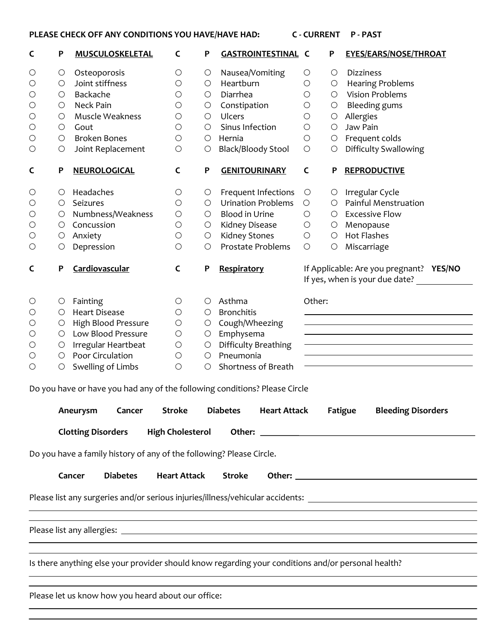## **PLEASE CHECK OFF ANY CONDITIONS YOU HAVE/HAVE HAD: C - CURRENT P - PAST**

| C                   | P                                                                          | <b>MUSCULOSKELETAL</b>                                                                             | C                       | P          | <b>GASTROINTESTINAL C</b>              |              | P          | <b>EYES/EARS/NOSE/THROAT</b>                                                                                   |  |
|---------------------|----------------------------------------------------------------------------|----------------------------------------------------------------------------------------------------|-------------------------|------------|----------------------------------------|--------------|------------|----------------------------------------------------------------------------------------------------------------|--|
| $\circ$             | $\bigcirc$                                                                 | Osteoporosis                                                                                       | $\bigcirc$              | $\bigcirc$ | Nausea/Vomiting                        | $\bigcirc$   | $\circ$    | <b>Dizziness</b>                                                                                               |  |
| $\bigcirc$          | $\bigcirc$                                                                 | Joint stiffness                                                                                    | $\bigcirc$              | $\circ$    | Heartburn                              | $\bigcirc$   | $\circ$    | <b>Hearing Problems</b>                                                                                        |  |
| $\bigcirc$          | O                                                                          | Backache                                                                                           | $\bigcirc$              | $\circ$    | Diarrhea                               | $\bigcirc$   | $\circ$    | <b>Vision Problems</b>                                                                                         |  |
| $\bigcirc$          | O                                                                          | Neck Pain                                                                                          | О                       | $\bigcirc$ | Constipation                           | $\bigcirc$   | $\bigcirc$ | <b>Bleeding gums</b>                                                                                           |  |
| $\bigcirc$          | $\circ$                                                                    | Muscle Weakness                                                                                    | $\bigcirc$              | $\circ$    | <b>Ulcers</b>                          | $\bigcirc$   | $\circ$    | Allergies                                                                                                      |  |
| $\bigcirc$          | $\bigcirc$                                                                 | Gout                                                                                               | $\bigcirc$              | $\circ$    | Sinus Infection                        | $\bigcirc$   | $\circ$    | Jaw Pain                                                                                                       |  |
| $\bigcirc$          | $\bigcirc$                                                                 | <b>Broken Bones</b>                                                                                | $\bigcirc$              | $\circ$    | Hernia                                 | $\bigcirc$   | $\bigcirc$ | Frequent colds                                                                                                 |  |
| O                   | $\bigcirc$                                                                 | Joint Replacement                                                                                  | $\bigcirc$              | $\bigcirc$ | <b>Black/Bloody Stool</b>              | $\bigcirc$   | O          | <b>Difficulty Swallowing</b>                                                                                   |  |
| C                   | P                                                                          | <b>NEUROLOGICAL</b>                                                                                | C                       | P          | <b>GENITOURINARY</b>                   | $\mathsf{C}$ | P          | <b>REPRODUCTIVE</b>                                                                                            |  |
| $\circlearrowright$ | $\circ$                                                                    | Headaches                                                                                          | O                       | $\circ$    | Frequent Infections                    | $\bigcirc$   |            | $\circ$ Irregular Cycle                                                                                        |  |
| $\bigcirc$          | O                                                                          | Seizures                                                                                           | $\bigcirc$              | $\circ$    | <b>Urination Problems</b>              | O            | O          | Painful Menstruation                                                                                           |  |
| $\bigcirc$          | $\circ$                                                                    | Numbness/Weakness                                                                                  | $\bigcirc$              | O          | <b>Blood in Urine</b>                  | $\bigcirc$   | $\circ$    | <b>Excessive Flow</b>                                                                                          |  |
| $\bigcirc$          | $\circ$                                                                    | Concussion                                                                                         | $\bigcirc$              | $\circ$    | Kidney Disease                         | $\bigcirc$   | $\circ$    | Menopause                                                                                                      |  |
| $\bigcirc$          | $\bigcirc$                                                                 | Anxiety                                                                                            | $\bigcirc$              | $\bigcirc$ | <b>Kidney Stones</b>                   | $\bigcirc$   | $\bigcirc$ | <b>Hot Flashes</b>                                                                                             |  |
| O                   | $\bigcirc$                                                                 | Depression                                                                                         | $\bigcirc$              | $\circ$    | Prostate Problems                      | $\bigcirc$   | $\circ$    | Miscarriage                                                                                                    |  |
| C                   | P                                                                          | Cardiovascular                                                                                     | $\mathsf C$             | P          | Respiratory                            |              |            | If Applicable: Are you pregnant? YES/NO<br>If yes, when is your due date?                                      |  |
| $\circ$             | $\bigcirc$                                                                 | Fainting                                                                                           | O                       | $\circ$    | Asthma                                 |              | Other:     |                                                                                                                |  |
| $\bigcirc$          | O                                                                          | <b>Heart Disease</b>                                                                               | $\bigcirc$              | $\circ$    | <b>Bronchitis</b>                      |              |            |                                                                                                                |  |
| $\bigcirc$          | $\bigcirc$                                                                 | High Blood Pressure                                                                                | $\bigcirc$              | $\circ$    | Cough/Wheezing                         |              |            |                                                                                                                |  |
| $\bigcirc$          | Low Blood Pressure<br>$\circ$                                              |                                                                                                    | $\bigcirc$              | $\bigcirc$ | Emphysema                              |              |            |                                                                                                                |  |
| $\bigcirc$          | Irregular Heartbeat<br>$\circ$                                             |                                                                                                    | $\bigcirc$              | $\bigcirc$ | Difficulty Breathing                   |              |            |                                                                                                                |  |
| O                   | $\circ$                                                                    | Poor Circulation                                                                                   | $\bigcirc$              | $\circ$    | Pneumonia                              |              |            |                                                                                                                |  |
| $\bigcirc$          | Swelling of Limbs<br>$\bigcirc$                                            |                                                                                                    | $\bigcirc$              | $\circ$    | Shortness of Breath                    |              |            |                                                                                                                |  |
|                     | Do you have or have you had any of the following conditions? Please Circle |                                                                                                    |                         |            |                                        |              |            |                                                                                                                |  |
|                     |                                                                            | Aneurysm<br>Cancer                                                                                 | <b>Stroke</b>           |            | <b>Diabetes</b><br><b>Heart Attack</b> |              |            | <b>Bleeding Disorders</b><br>Fatigue                                                                           |  |
|                     |                                                                            | <b>Clotting Disorders</b>                                                                          | <b>High Cholesterol</b> |            |                                        |              |            |                                                                                                                |  |
|                     |                                                                            | Do you have a family history of any of the following? Please Circle.                               |                         |            |                                        |              |            |                                                                                                                |  |
|                     |                                                                            | <b>Diabetes</b><br>Cancer                                                                          | <b>Heart Attack</b>     |            | <b>Stroke</b>                          |              |            |                                                                                                                |  |
|                     |                                                                            |                                                                                                    |                         |            |                                        |              |            |                                                                                                                |  |
|                     |                                                                            |                                                                                                    |                         |            |                                        |              |            | Please list any surgeries and/or serious injuries/illness/vehicular accidents: _______________________________ |  |
|                     |                                                                            |                                                                                                    |                         |            |                                        |              |            |                                                                                                                |  |
|                     |                                                                            |                                                                                                    |                         |            |                                        |              |            |                                                                                                                |  |
|                     |                                                                            | Is there anything else your provider should know regarding your conditions and/or personal health? |                         |            |                                        |              |            |                                                                                                                |  |
|                     |                                                                            |                                                                                                    |                         |            |                                        |              |            |                                                                                                                |  |
|                     |                                                                            | Please let us know how you heard about our office:                                                 |                         |            |                                        |              |            |                                                                                                                |  |